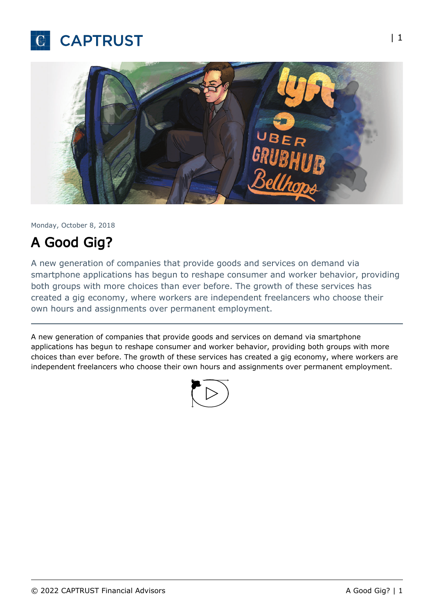



Monday, October 8, 2018

# A Good Gig?

A new generation of companies that provide goods and services on demand via smartphone applications has begun to reshape consumer and worker behavior, providing both groups with more choices than ever before. The growth of these services has created a gig economy, where workers are independent freelancers who choose their own hours and assignments over permanent employment.

A new generation of companies that provide goods and services on demand via smartphone applications has begun to reshape consumer and worker behavior, providing both groups with more choices than ever before. The growth of these services has created a gig economy, where workers are independent freelancers who choose their own hours and assignments over permanent employment.

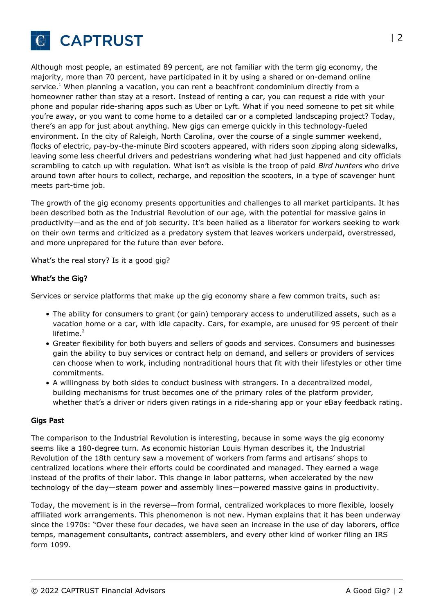

Although most people, an estimated 89 percent, are not familiar with the term gig economy, the majority, more than 70 percent, have participated in it by using a shared or on-demand online service.<sup>1</sup> When planning a vacation, you can rent a beachfront condominium directly from a homeowner rather than stay at a resort. Instead of renting a car, you can request a ride with your phone and popular ride-sharing apps such as Uber or Lyft. What if you need someone to pet sit while you're away, or you want to come home to a detailed car or a completed landscaping project? Today, there's an app for just about anything. New gigs can emerge quickly in this technology-fueled environment. In the city of Raleigh, North Carolina, over the course of a single summer weekend, flocks of electric, pay-by-the-minute Bird scooters appeared, with riders soon zipping along sidewalks, leaving some less cheerful drivers and pedestrians wondering what had just happened and city officials scrambling to catch up with regulation. What isn't as visible is the troop of paid Bird hunters who drive around town after hours to collect, recharge, and reposition the scooters, in a type of scavenger hunt meets part-time job.

The growth of the gig economy presents opportunities and challenges to all market participants. It has been described both as the Industrial Revolution of our age, with the potential for massive gains in productivity—and as the end of job security. It's been hailed as a liberator for workers seeking to work on their own terms and criticized as a predatory system that leaves workers underpaid, overstressed, and more unprepared for the future than ever before.

What's the real story? Is it a good gig?

#### What's the Gig?

Services or service platforms that make up the gig economy share a few common traits, such as:

- The ability for consumers to grant (or gain) temporary access to underutilized assets, such as a vacation home or a car, with idle capacity. Cars, for example, are unused for 95 percent of their lifetime. $2$
- Greater flexibility for both buyers and sellers of goods and services. Consumers and businesses gain the ability to buy services or contract help on demand, and sellers or providers of services can choose when to work, including nontraditional hours that fit with their lifestyles or other time commitments.
- A willingness by both sides to conduct business with strangers. In a decentralized model, building mechanisms for trust becomes one of the primary roles of the platform provider, whether that's a driver or riders given ratings in a ride-sharing app or your eBay feedback rating.

#### Gigs Past

The comparison to the Industrial Revolution is interesting, because in some ways the gig economy seems like a 180-degree turn. As economic historian Louis Hyman describes it, the Industrial Revolution of the 18th century saw a movement of workers from farms and artisans' shops to centralized locations where their efforts could be coordinated and managed. They earned a wage instead of the profits of their labor. This change in labor patterns, when accelerated by the new technology of the day—steam power and assembly lines—powered massive gains in productivity.

Today, the movement is in the reverse—from formal, centralized workplaces to more flexible, loosely affiliated work arrangements. This phenomenon is not new. Hyman explains that it has been underway since the 1970s: "Over these four decades, we have seen an increase in the use of day laborers, office temps, management consultants, contract assemblers, and every other kind of worker filing an IRS form 1099.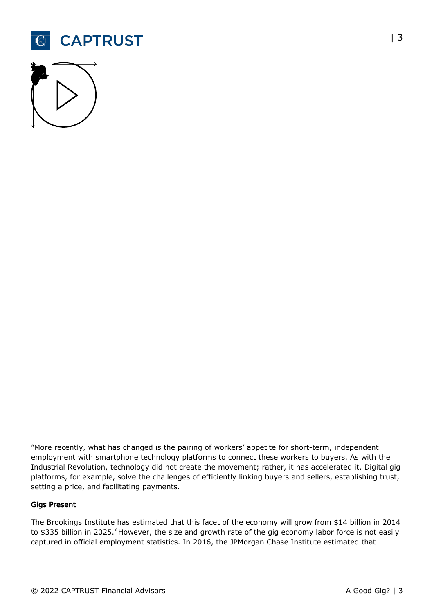



"More recently, what has changed is the pairing of workers' appetite for short-term, independent employment with smartphone technology platforms to connect these workers to buyers. As with the Industrial Revolution, technology did not create the movement; rather, it has accelerated it. Digital gig platforms, for example, solve the challenges of efficiently linking buyers and sellers, establishing trust, setting a price, and facilitating payments.

#### Gigs Present

The Brookings Institute has estimated that this facet of the economy will grow from \$14 billion in 2014 to \$335 billion in 2025.<sup>3</sup> However, the size and growth rate of the gig economy labor force is not easily captured in official employment statistics. In 2016, the JPMorgan Chase Institute estimated that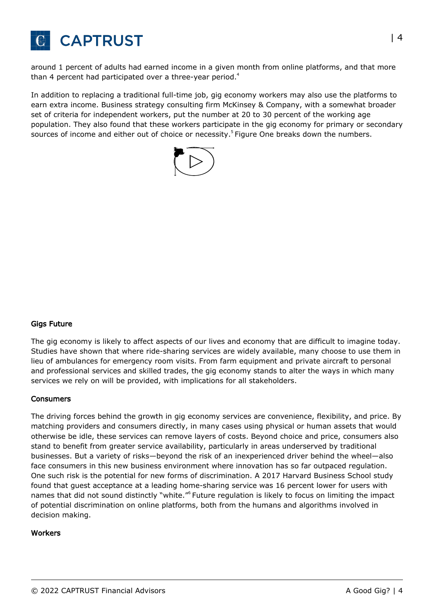

around 1 percent of adults had earned income in a given month from online platforms, and that more than 4 percent had participated over a three-year period.<sup>4</sup>

In addition to replacing a traditional full-time job, gig economy workers may also use the platforms to earn extra income. Business strategy consulting firm McKinsey & Company, with a somewhat broader set of criteria for independent workers, put the number at 20 to 30 percent of the working age population. They also found that these workers participate in the gig economy for primary or secondary sources of income and either out of choice or necessity.<sup>5</sup> Figure One breaks down the numbers.



#### Gigs Future

The gig economy is likely to affect aspects of our lives and economy that are difficult to imagine today. Studies have shown that where ride-sharing services are widely available, many choose to use them in lieu of ambulances for emergency room visits. From farm equipment and private aircraft to personal and professional services and skilled trades, the gig economy stands to alter the ways in which many services we rely on will be provided, with implications for all stakeholders.

#### Consumers

The driving forces behind the growth in gig economy services are convenience, flexibility, and price. By matching providers and consumers directly, in many cases using physical or human assets that would otherwise be idle, these services can remove layers of costs. Beyond choice and price, consumers also stand to benefit from greater service availability, particularly in areas underserved by traditional businesses. But a variety of risks—beyond the risk of an inexperienced driver behind the wheel—also face consumers in this new business environment where innovation has so far outpaced regulation. One such risk is the potential for new forms of discrimination. A 2017 Harvard Business School study found that guest acceptance at a leading home-sharing service was 16 percent lower for users with names that did not sound distinctly "white."<sup>6</sup> Future regulation is likely to focus on limiting the impact of potential discrimination on online platforms, both from the humans and algorithms involved in decision making.

#### **Workers**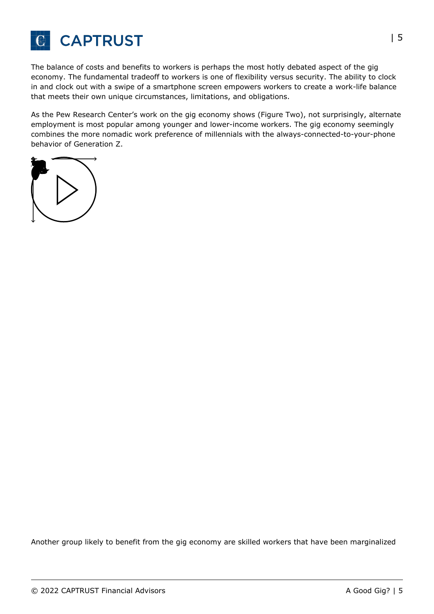

The balance of costs and benefits to workers is perhaps the most hotly debated aspect of the gig economy. The fundamental tradeoff to workers is one of flexibility versus security. The ability to clock in and clock out with a swipe of a smartphone screen empowers workers to create a work-life balance that meets their own unique circumstances, limitations, and obligations.

As the Pew Research Center's work on the gig economy shows (Figure Two), not surprisingly, alternate employment is most popular among younger and lower-income workers. The gig economy seemingly combines the more nomadic work preference of millennials with the always-connected-to-your-phone behavior of Generation Z.



Another group likely to benefit from the gig economy are skilled workers that have been marginalized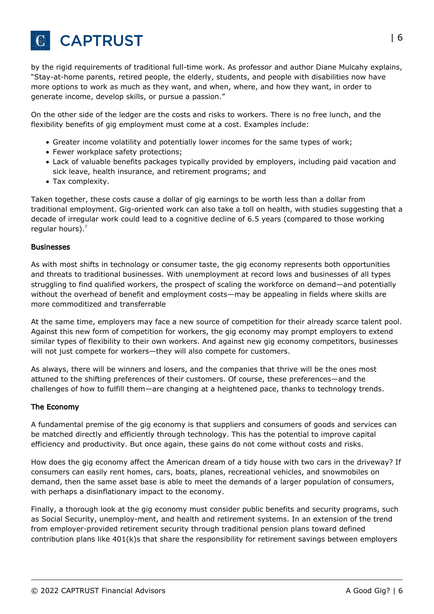

by the rigid requirements of traditional full-time work. As professor and author Diane Mulcahy explains, "Stay-at-home parents, retired people, the elderly, students, and people with disabilities now have more options to work as much as they want, and when, where, and how they want, in order to generate income, develop skills, or pursue a passion."

On the other side of the ledger are the costs and risks to workers. There is no free lunch, and the flexibility benefits of gig employment must come at a cost. Examples include:

- Greater income volatility and potentially lower incomes for the same types of work;
- Fewer workplace safety protections;
- Lack of valuable benefits packages typically provided by employers, including paid vacation and sick leave, health insurance, and retirement programs; and
- Tax complexity.

Taken together, these costs cause a dollar of gig earnings to be worth less than a dollar from traditional employment. Gig-oriented work can also take a toll on health, with studies suggesting that a decade of irregular work could lead to a cognitive decline of 6.5 years (compared to those working regular hours). $<sup>7</sup>$ </sup>

#### Businesses

As with most shifts in technology or consumer taste, the gig economy represents both opportunities and threats to traditional businesses. With unemployment at record lows and businesses of all types struggling to find qualified workers, the prospect of scaling the workforce on demand—and potentially without the overhead of benefit and employment costs—may be appealing in fields where skills are more commoditized and transferrable

At the same time, employers may face a new source of competition for their already scarce talent pool. Against this new form of competition for workers, the gig economy may prompt employers to extend similar types of flexibility to their own workers. And against new gig economy competitors, businesses will not just compete for workers—they will also compete for customers.

As always, there will be winners and losers, and the companies that thrive will be the ones most attuned to the shifting preferences of their customers. Of course, these preferences—and the challenges of how to fulfill them—are changing at a heightened pace, thanks to technology trends.

#### The Economy

A fundamental premise of the gig economy is that suppliers and consumers of goods and services can be matched directly and efficiently through technology. This has the potential to improve capital efficiency and productivity. But once again, these gains do not come without costs and risks.

How does the gig economy affect the American dream of a tidy house with two cars in the driveway? If consumers can easily rent homes, cars, boats, planes, recreational vehicles, and snowmobiles on demand, then the same asset base is able to meet the demands of a larger population of consumers, with perhaps a disinflationary impact to the economy.

Finally, a thorough look at the gig economy must consider public benefits and security programs, such as Social Security, unemploy-ment, and health and retirement systems. In an extension of the trend from employer-provided retirement security through traditional pension plans toward defined contribution plans like 401(k)s that share the responsibility for retirement savings between employers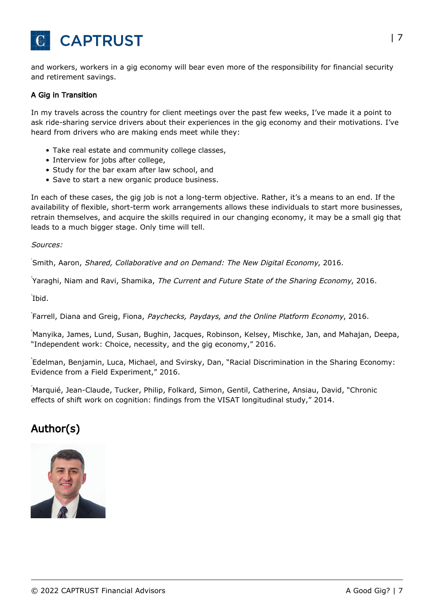

and workers, workers in a gig economy will bear even more of the responsibility for financial security and retirement savings.

#### A Gig in Transition

In my travels across the country for client meetings over the past few weeks, I've made it a point to ask ride-sharing service drivers about their experiences in the gig economy and their motivations. I've heard from drivers who are making ends meet while they:

- Take real estate and community college classes,
- Interview for jobs after college,
- Study for the bar exam after law school, and
- Save to start a new organic produce business.

In each of these cases, the gig job is not a long-term objective. Rather, it's a means to an end. If the availability of flexible, short-term work arrangements allows these individuals to start more businesses, retrain themselves, and acquire the skills required in our changing economy, it may be a small gig that leads to a much bigger stage. Only time will tell.

Sources:

Smith, Aaron, Shared, Collaborative and on Demand: The New Digital Economy, 2016.

<sup>2</sup> Yaraghi, Niam and Ravi, Shamika, *The Current and Future State of the Sharing Economy*, 2016.

 $\overline{1}$ bid.

<sup>+</sup>Farrell, Diana and Greig, Fiona, Paychecks, Paydays, and the Online Platform Economy, 2016.

<sub>,</sub><br>Manyika, James, Lund, Susan, Bughin, Jacques, Robinson, Kelsey, Mischke, Jan, and Mahajan, Deepa, "Independent work: Choice, necessity, and the gig economy," 2016.

6 Edelman, Benjamin, Luca, Michael, and Svirsky, Dan, "Racial Discrimination in the Sharing Economy: Evidence from a Field Experiment," 2016.

7 Marquié, Jean-Claude, Tucker, Philip, Folkard, Simon, Gentil, Catherine, Ansiau, David, "Chronic effects of shift work on cognition: findings from the VISAT longitudinal study," 2014.

## Author(s)